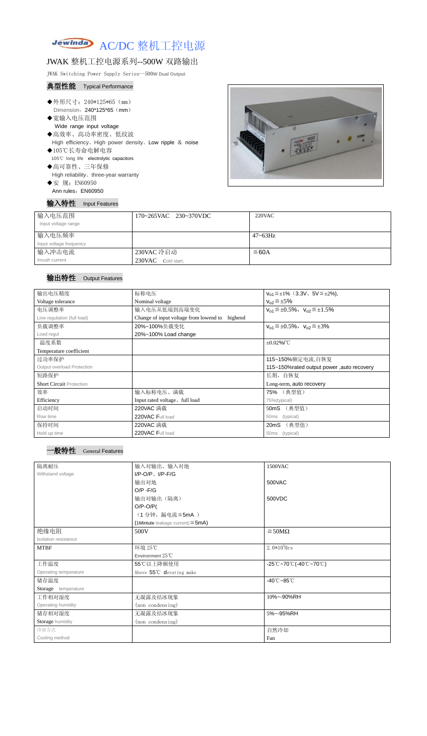

# JWAK 整机工控电源系列--500W 双路输出

JWAK Switching Power Supply Series--500**W Dual Output**

#### 典型性能 Typical Performance

- ◆外形尺寸: 240\*125\*65 (mm) Dimension: 240\*125\*65 (mm)
- ◆宽输入电压范围 Wide range input voltage ◆高效率、高功率密度、低纹波 High efficiency、High power density、Low ripple & noise
- ◆105℃长寿命电解电容 105℃ long life electrolytic capacitors
- ◆高可靠性、三年保修 High reliability、three-year warranty ◆安 规: EN60950
- Ann rules: EN60950

输入特性 Input Features



| 输入电压范围<br>Input voltage range | 170~265VAC 230~370VDC | 220VAC       |
|-------------------------------|-----------------------|--------------|
| 输入电压频率                        |                       | $47 - 63$ Hz |
| Input voltage frequency       |                       |              |
| 输入冲击电流                        | 230VAC 冷启动            | ≤60A         |
| Inrush current                | 230VAC Cold start,    |              |

## 输出特性 Output Features

#### 一般特性 General Features

| 输出电压精度                          | 标称电压                                                            | $V_{01} \leq \pm 1\%$ (3.3V, 5V $\leq \pm 2\%$ ), |  |
|---------------------------------|-----------------------------------------------------------------|---------------------------------------------------|--|
| Voltage tolerance               | Nominal voltage                                                 | $V_{02} \leq \pm 5\%$                             |  |
| 电压调整率                           | 输入电压从低端到高端变化                                                    | $V_{01} \leq \pm 0.5\%$ , $V_{02} \leq \pm 1.5\%$ |  |
| Line regulation (full load)     | Change of input voltage from lowend to<br>highend               |                                                   |  |
| 负载调整率                           | 20%~100%负载变化<br>$V_{01} \leq \pm 0.5\%$ , $V_{02} \leq \pm 3\%$ |                                                   |  |
| Load regul                      | 20%~100% Load change                                            |                                                   |  |
| 温度系数                            | $\pm 0.02\%$ /°C                                                |                                                   |  |
| Temperature coefficient         |                                                                 |                                                   |  |
| 过功率保护                           | 115~150%额定电流,自恢复                                                |                                                   |  |
| Output overload Protection      | 115~150% rated output power, auto recovery                      |                                                   |  |
| 短路保护                            | 长期, 自恢复                                                         |                                                   |  |
| <b>Short Circuit Protection</b> |                                                                 | Long-term, auto recovery                          |  |
| 效率                              | 输入标称电压、满载                                                       | 75% (典型值)                                         |  |
| Efficiency                      | Input rated voltage, full load                                  | 75%(typical)                                      |  |
| 启动时间                            | 220VAC 满载                                                       | 50mS (典型值)                                        |  |
| Rise time                       | 220VAC Full load                                                | 50ms<br>(typical)                                 |  |
| 保持时间                            | 220VAC 满载                                                       | (典型值)<br>20mS                                     |  |
| Hold up time                    | 220VAC Full load                                                | 50ms<br>(typical)                                 |  |

| 隔离耐压                        | 输入对输出、输入对地                                | 1500VAC                                                                                       |  |
|-----------------------------|-------------------------------------------|-----------------------------------------------------------------------------------------------|--|
| Withstand voltage           | $I/P-O/P$ , $I/P-F/G$                     |                                                                                               |  |
|                             | 输出对地                                      | 500VAC                                                                                        |  |
|                             | $O/P - F/G$                               |                                                                                               |  |
|                             | 输出对输出(隔离)                                 | 500VDC                                                                                        |  |
|                             | $O/P-O/P($                                |                                                                                               |  |
|                             | (1分钟,漏电流≦5mA)                             |                                                                                               |  |
|                             | $(1$ Mintute leakage current) $\leq$ 5mA) |                                                                                               |  |
| 绝缘电阻                        | 500V                                      | $\geq$ 50M $\Omega$                                                                           |  |
| <b>Isolation resistance</b> |                                           |                                                                                               |  |
| <b>MTBF</b>                 | 环境 25℃                                    | $2.0*105$ Hrs                                                                                 |  |
|                             | Environment $25^{\circ}$ C                |                                                                                               |  |
| 工作温度                        | 55℃以上降额使用                                 | $-25^{\circ}\text{C}$ ~70 $^{\circ}\text{C}$ (-40 $^{\circ}\text{C}$ ~70 $^{\circ}\text{C}$ ) |  |
| Operating temperature       | Above 55°C derating make                  |                                                                                               |  |
| 储存温度                        |                                           | $-40^{\circ}$ C $-85^{\circ}$ C                                                               |  |
| Storage temperature         |                                           |                                                                                               |  |
| 工作相对湿度                      | 无凝露及结冰现象                                  | 10%~-90%RH                                                                                    |  |
| Operating humidity          | (non condensing)                          |                                                                                               |  |
| 储存相对湿度                      | 无凝露及结冰现象                                  | 5%~-95%RH                                                                                     |  |
| Storage humidity            | (non condensing)                          |                                                                                               |  |
| 冷却方式                        |                                           | 自然冷却                                                                                          |  |
| Cooling method              |                                           | Fan                                                                                           |  |